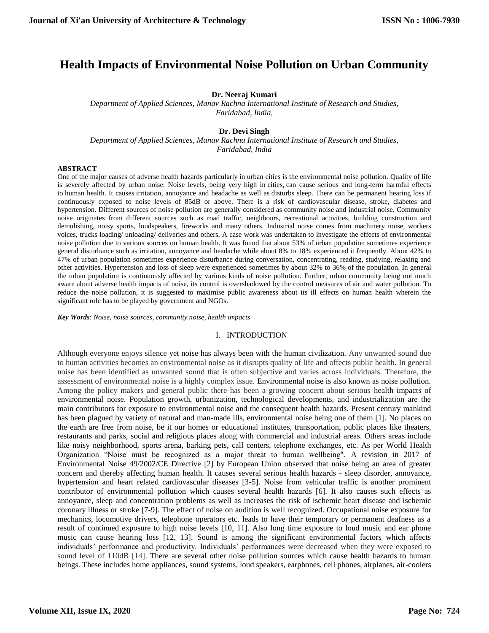# **Health Impacts of Environmental Noise Pollution on Urban Community**

#### **Dr. Neeraj Kumari**

*Department of Applied Sciences, Manav Rachna International Institute of Research and Studies, Faridabad, India,* 

#### **Dr. Devi Singh**

*Department of Applied Sciences, Manav Rachna International Institute of Research and Studies, Faridabad, India* 

#### **ABSTRACT**

One of the major causes of adverse health hazards particularly in urban cities is the environmental noise pollution. Quality of life is severely affected by urban noise. Noise levels, being very high in cities, can cause serious and long-term harmful effects to human health. It causes irritation, annoyance and headache as well as disturbs sleep. There can be permanent hearing loss if continuously exposed to noise levels of 85dB or above. There is a risk of cardiovascular disease, stroke, diabetes and hypertension. Different sources of noise pollution are generally considered as community noise and industrial noise. Community noise originates from different sources such as road traffic, neighbours, recreational activities, building construction and demolishing, noisy sports, loudspeakers, fireworks and many others. Industrial noise comes from machinery noise, workers voices, trucks loading/ unloading/ deliveries and others. A case work was undertaken to investigate the effects of environmental noise pollution due to various sources on human health. It was found that about 53% of urban population sometimes experience general disturbance such as irritation, annoyance and headache while about 8% to 18% experienced it frequently. About 42% to 47% of urban population sometimes experience disturbance during conversation, concentrating, reading, studying, relaxing and other activities. Hypertension and loss of sleep were experienced sometimes by about 32% to 36% of the population. In general the urban population is continuously affected by various kinds of noise pollution. Further, urban community being not much aware about adverse health impacts of noise, its control is overshadowed by the control measures of air and water pollution. To reduce the noise pollution, it is suggested to maximise public awareness about its ill effects on human health wherein the significant role has to be played by government and NGOs.

*Key Words*: *Noise, noise sources, community noise, health impacts* 

#### I. INTRODUCTION

Although everyone enjoys silence yet noise has always been with the human civilization. Any unwanted sound due to human activities becomes an environmental noise as it disrupts quality of life and affects public health. In general noise has been identified as unwanted sound that is often subjective and varies across individuals. Therefore, the assessment of environmental noise is a highly complex issue. Environmental noise is also known as noise pollution. Among the policy makers and general public there has been a growing concern about serious health impacts of environmental noise. Population growth, urbanization, technological developments, and industrialization are the main contributors for exposure to environmental noise and the consequent health hazards. Present century mankind has been plagued by variety of natural and man-made ills, environmental noise being one of them [1]. No places on the earth are free from noise, be it our homes or educational institutes, transportation, public places like theaters, restaurants and parks, social and religious places along with commercial and industrial areas. Others areas include like noisy neighborhood, sports arena, barking pets, call centers, telephone exchanges, etc. As per World Health Organization "Noise must be recognized as a major threat to human wellbeing". A revision in 2017 of Environmental Noise 49/2002/CE Directive [2] by European Union observed that noise being an area of greater concern and thereby affecting human health. It causes several serious health hazards - sleep disorder, annoyance, hypertension and heart related cardiovascular diseases [3-5]. Noise from vehicular traffic is another prominent contributor of environmental pollution which causes several health hazards [6]. It also causes such effects as annoyance, sleep and concentration problems as well as increases the risk of ischemic heart disease and ischemic coronary illness or stroke [7-9]. The effect of noise on audition is well recognized. Occupational noise exposure for mechanics, locomotive drivers, telephone operators etc. leads to have their temporary or permanent deafness as a result of continued exposure to high noise levels [10, 11]. Also long time exposure to loud music and ear phone music can cause hearing loss [12, 13]. Sound is among the significant environmental factors which affects individuals' performance and productivity. Individuals' performances were decreased when they were exposed to sound level of 110dB [14]. There are several other noise pollution sources which cause health hazards to human beings. These includes home appliances, sound systems, loud speakers, earphones, cell phones, airplanes, air-coolers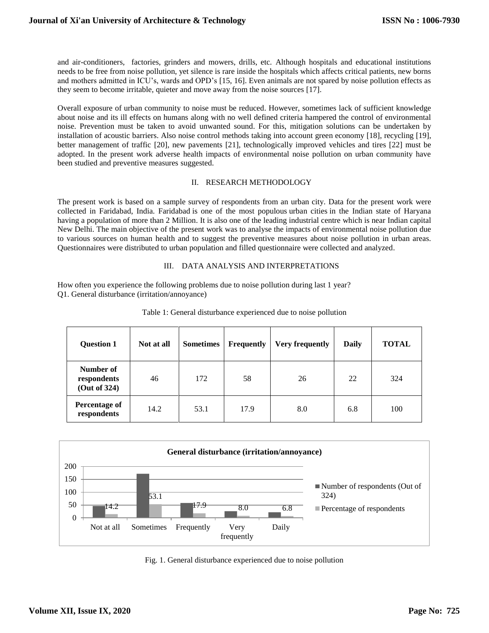and air-conditioners, factories, grinders and mowers, drills, etc. Although hospitals and educational institutions needs to be free from noise pollution, yet silence is rare inside the hospitals which affects critical patients, new borns and mothers admitted in ICU's, wards and OPD's [15, 16]. Even animals are not spared by noise pollution effects as they seem to become irritable, quieter and move away from the noise sources [17].

Overall exposure of urban community to noise must be reduced. However, sometimes lack of sufficient knowledge about noise and its ill effects on humans along with no well defined criteria hampered the control of environmental noise. Prevention must be taken to avoid unwanted sound. For this, mitigation solutions can be undertaken by installation of acoustic barriers. Also noise control methods taking into account green economy [18], recycling [19], better management of traffic [20], new pavements [21], technologically improved vehicles and tires [22] must be adopted. In the present work adverse health impacts of environmental noise pollution on urban community have been studied and preventive measures suggested.

# II. RESEARCH METHODOLOGY

The present work is based on a sample survey of respondents from an urban city. Data for the present work were collected in Faridabad, India. Faridabad is one of the most populous urban cities in the Indian state of Haryana having a population of more than 2 Million. It is also one of the leading industrial centre which is near Indian capital New Delhi. The main objective of the present work was to analyse the impacts of environmental noise pollution due to various sources on human health and to suggest the preventive measures about noise pollution in urban areas. Questionnaires were distributed to urban population and filled questionnaire were collected and analyzed.

# III. DATA ANALYSIS AND INTERPRETATIONS

How often you experience the following problems due to noise pollution during last 1 year? Q1. General disturbance (irritation/annoyance)

| <b>Question 1</b>                        | Not at all | <b>Sometimes</b> | <b>Frequently</b> | <b>Very frequently</b> | <b>Daily</b> | <b>TOTAL</b> |
|------------------------------------------|------------|------------------|-------------------|------------------------|--------------|--------------|
| Number of<br>respondents<br>(Out of 324) | 46         | 172              | 58                | 26                     | 22           | 324          |
| <b>Percentage of</b><br>respondents      | 14.2       | 53.1             | 17.9              | 8.0                    | 6.8          | 100          |

Table 1: General disturbance experienced due to noise pollution



Fig. 1. General disturbance experienced due to noise pollution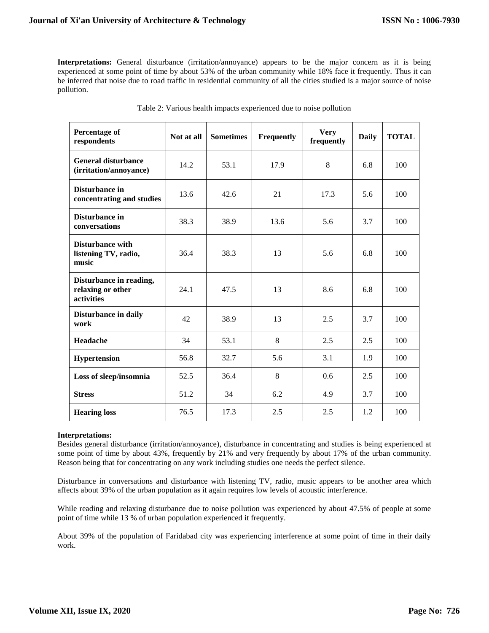**Interpretations:** General disturbance (irritation/annoyance) appears to be the major concern as it is being experienced at some point of time by about 53% of the urban community while 18% face it frequently. Thus it can be inferred that noise due to road traffic in residential community of all the cities studied is a major source of noise pollution.

| Percentage of<br>respondents                               | Not at all | <b>Sometimes</b> | Frequently | <b>Very</b><br>frequently | <b>Daily</b> | <b>TOTAL</b> |
|------------------------------------------------------------|------------|------------------|------------|---------------------------|--------------|--------------|
| <b>General disturbance</b><br>(irritation/annoyance)       | 14.2       | 53.1             | 17.9       | 8                         | 6.8          | 100          |
| Disturbance in<br>concentrating and studies                | 13.6       | 42.6             | 21         | 17.3                      | 5.6          | 100          |
| Disturbance in<br>conversations                            | 38.3       | 38.9             | 13.6       | 5.6                       | 3.7          | 100          |
| <b>Disturbance with</b><br>listening TV, radio,<br>music   | 36.4       | 38.3             | 13         | 5.6                       | 6.8          | 100          |
| Disturbance in reading,<br>relaxing or other<br>activities | 24.1       | 47.5             | 13         | 8.6                       | 6.8          | 100          |
| Disturbance in daily<br>work                               | 42         | 38.9             | 13         | 2.5                       | 3.7          | 100          |
| Headache                                                   | 34         | 53.1             | 8          | 2.5                       | 2.5          | 100          |
| <b>Hypertension</b>                                        | 56.8       | 32.7             | 5.6        | 3.1                       | 1.9          | 100          |
| Loss of sleep/insomnia                                     | 52.5       | 36.4             | 8          | 0.6                       | 2.5          | 100          |
| <b>Stress</b>                                              | 51.2       | 34               | 6.2        | 4.9                       | 3.7          | 100          |
| <b>Hearing loss</b>                                        | 76.5       | 17.3             | 2.5        | 2.5                       | 1.2          | 100          |

| Table 2: Various health impacts experienced due to noise pollution |  |  |
|--------------------------------------------------------------------|--|--|
|                                                                    |  |  |

### **Interpretations:**

Besides general disturbance (irritation/annoyance), disturbance in concentrating and studies is being experienced at some point of time by about 43%, frequently by 21% and very frequently by about 17% of the urban community. Reason being that for concentrating on any work including studies one needs the perfect silence.

Disturbance in conversations and disturbance with listening TV, radio, music appears to be another area which affects about 39% of the urban population as it again requires low levels of acoustic interference.

While reading and relaxing disturbance due to noise pollution was experienced by about 47.5% of people at some point of time while 13 % of urban population experienced it frequently.

About 39% of the population of Faridabad city was experiencing interference at some point of time in their daily work.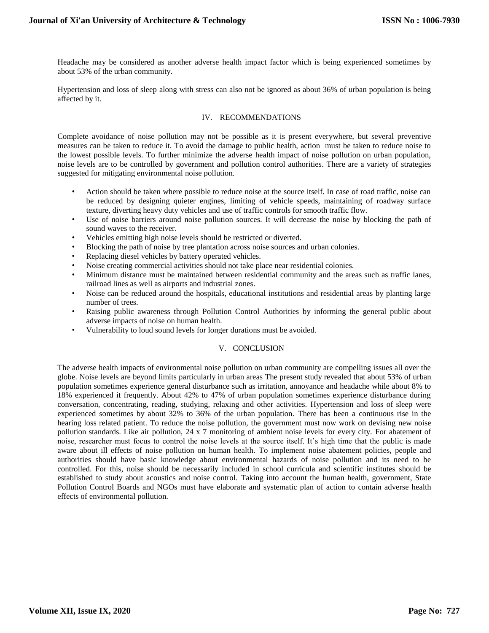Headache may be considered as another adverse health impact factor which is being experienced sometimes by about 53% of the urban community.

Hypertension and loss of sleep along with stress can also not be ignored as about 36% of urban population is being affected by it.

# IV. RECOMMENDATIONS

Complete avoidance of noise pollution may not be possible as it is present everywhere, but several preventive measures can be taken to reduce it. To avoid the damage to public health, action must be taken to reduce noise to the lowest possible levels. To further minimize the adverse health impact of noise pollution on urban population, noise levels are to be controlled by government and pollution control authorities. There are a variety of strategies suggested for mitigating environmental noise pollution.

- Action should be taken where possible to reduce noise at the source itself. In case of road traffic, noise can be reduced by designing quieter engines, limiting of vehicle speeds, maintaining of roadway surface texture, diverting heavy duty vehicles and use of traffic controls for smooth traffic flow.
- Use of noise barriers around noise pollution sources. It will decrease the noise by blocking the path of sound waves to the receiver.
- Vehicles emitting high noise levels should be restricted or diverted.
- Blocking the path of noise by tree plantation across noise sources and urban colonies.
- Replacing diesel vehicles by battery operated vehicles.
- Noise creating commercial activities should not take place near residential colonies.
- Minimum distance must be maintained between residential community and the areas such as traffic lanes, railroad lines as well as airports and industrial zones.
- Noise can be reduced around the hospitals, educational institutions and residential areas by planting large number of trees.
- Raising public awareness through Pollution Control Authorities by informing the general public about adverse impacts of noise on human health.
- Vulnerability to loud sound levels for longer durations must be avoided.

# V. CONCLUSION

The adverse health impacts of environmental noise pollution on urban community are compelling issues all over the globe. Noise levels are beyond limits particularly in urban areas The present study revealed that about 53% of urban population sometimes experience general disturbance such as irritation, annoyance and headache while about 8% to 18% experienced it frequently. About 42% to 47% of urban population sometimes experience disturbance during conversation, concentrating, reading, studying, relaxing and other activities. Hypertension and loss of sleep were experienced sometimes by about 32% to 36% of the urban population. There has been a continuous rise in the hearing loss related patient. To reduce the noise pollution, the government must now work on devising new noise pollution standards. Like air pollution, 24 x 7 monitoring of ambient noise levels for every city. For abatement of noise, researcher must focus to control the noise levels at the source itself. It's high time that the public is made aware about ill effects of noise pollution on human health. To implement noise abatement policies, people and authorities should have basic knowledge about environmental hazards of noise pollution and its need to be controlled. For this, noise should be necessarily included in school curricula and scientific institutes should be established to study about acoustics and noise control. Taking into account the human health, government, State Pollution Control Boards and NGOs must have elaborate and systematic plan of action to contain adverse health effects of environmental pollution.